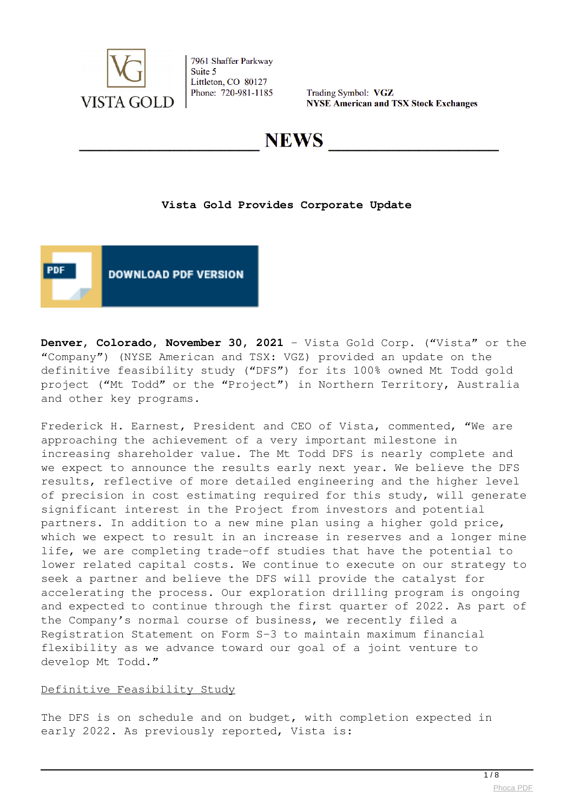

Trading Symbol: VGZ **NYSE American and TSX Stock Exchanges** 

## NEWS

### **Vista Gold Provides Corporate Update**



**Denver, Colorado, November 30, 2021** - Vista Gold Corp. ("Vista" or the "Company") (NYSE American and TSX: VGZ) provided an update on the definitive feasibility study ("DFS") for its 100% owned Mt Todd gold project ("Mt Todd" or the "Project") in Northern Territory, Australia and other key programs.

Frederick H. Earnest, President and CEO of Vista, commented, "We are approaching the achievement of a very important milestone in increasing shareholder value. The Mt Todd DFS is nearly complete and we expect to announce the results early next year. We believe the DFS results, reflective of more detailed engineering and the higher level of precision in cost estimating required for this study, will generate significant interest in the Project from investors and potential partners. In addition to a new mine plan using a higher gold price, which we expect to result in an increase in reserves and a longer mine life, we are completing trade-off studies that have the potential to lower related capital costs. We continue to execute on our strategy to seek a partner and believe the DFS will provide the catalyst for accelerating the process. Our exploration drilling program is ongoing and expected to continue through the first quarter of 2022. As part of the Company's normal course of business, we recently filed a Registration Statement on Form S-3 to maintain maximum financial flexibility as we advance toward our goal of a joint venture to develop Mt Todd."

### Definitive Feasibility Study

The DFS is on schedule and on budget, with completion expected in early 2022. As previously reported, Vista is: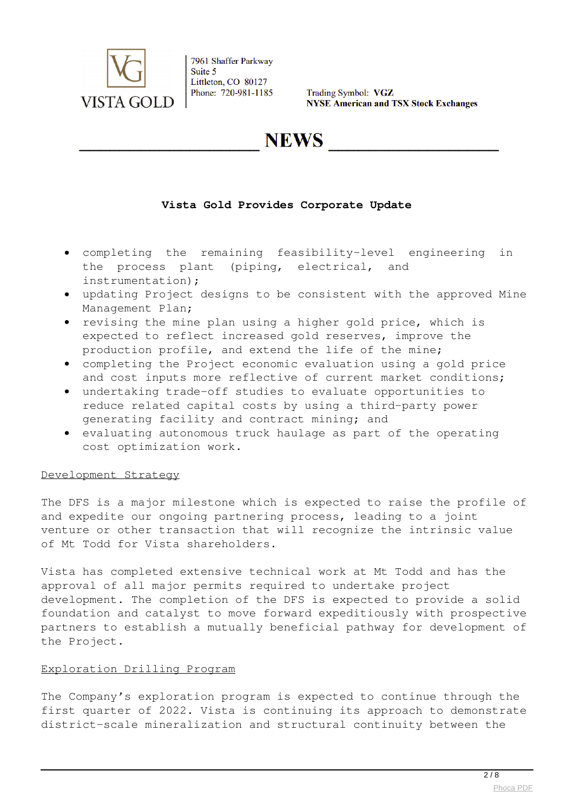

Trading Symbol: VGZ **NYSE American and TSX Stock Exchanges** 

**NEWS** 

### **Vista Gold Provides Corporate Update**

- completing the remaining feasibility-level engineering in the process plant (piping, electrical, and instrumentation);
- updating Project designs to be consistent with the approved Mine Management Plan;
- revising the mine plan using a higher gold price, which is expected to reflect increased gold reserves, improve the production profile, and extend the life of the mine;
- completing the Project economic evaluation using a gold price and cost inputs more reflective of current market conditions;
- undertaking trade-off studies to evaluate opportunities to reduce related capital costs by using a third-party power generating facility and contract mining; and
- evaluating autonomous truck haulage as part of the operating cost optimization work.

#### Development Strategy

The DFS is a major milestone which is expected to raise the profile of and expedite our ongoing partnering process, leading to a joint venture or other transaction that will recognize the intrinsic value of Mt Todd for Vista shareholders.

Vista has completed extensive technical work at Mt Todd and has the approval of all major permits required to undertake project development. The completion of the DFS is expected to provide a solid foundation and catalyst to move forward expeditiously with prospective partners to establish a mutually beneficial pathway for development of the Project.

#### Exploration Drilling Program

The Company's exploration program is expected to continue through the first quarter of 2022. Vista is continuing its approach to demonstrate district-scale mineralization and structural continuity between the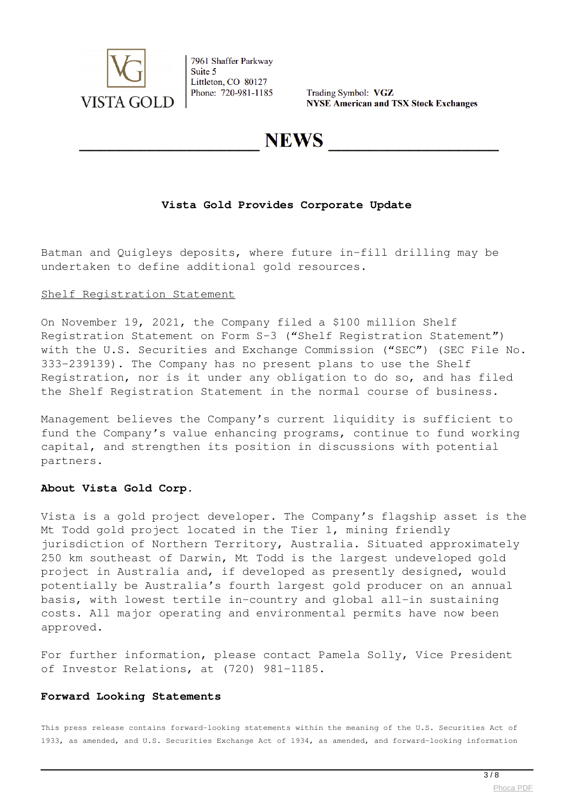

Trading Symbol: VGZ **NYSE American and TSX Stock Exchanges** 

## NEWS

### **Vista Gold Provides Corporate Update**

Batman and Quigleys deposits, where future in-fill drilling may be undertaken to define additional gold resources.

#### Shelf Registration Statement

On November 19, 2021, the Company filed a \$100 million Shelf Registration Statement on Form S-3 ("Shelf Registration Statement") with the U.S. Securities and Exchange Commission ("SEC") (SEC File No. 333-239139). The Company has no present plans to use the Shelf Registration, nor is it under any obligation to do so, and has filed the Shelf Registration Statement in the normal course of business.

Management believes the Company's current liquidity is sufficient to fund the Company's value enhancing programs, continue to fund working capital, and strengthen its position in discussions with potential partners.

#### **About Vista Gold Corp.**

Vista is a gold project developer. The Company's flagship asset is the Mt Todd gold project located in the Tier 1, mining friendly jurisdiction of Northern Territory, Australia. Situated approximately 250 km southeast of Darwin, Mt Todd is the largest undeveloped gold project in Australia and, if developed as presently designed, would potentially be Australia's fourth largest gold producer on an annual basis, with lowest tertile in-country and global all-in sustaining costs. All major operating and environmental permits have now been approved.

For further information, please contact Pamela Solly, Vice President of Investor Relations, at (720) 981-1185.

#### **Forward Looking Statements**

This press release contains forward-looking statements within the meaning of the U.S. Securities Act of 1933, as amended, and U.S. Securities Exchange Act of 1934, as amended, and forward-looking information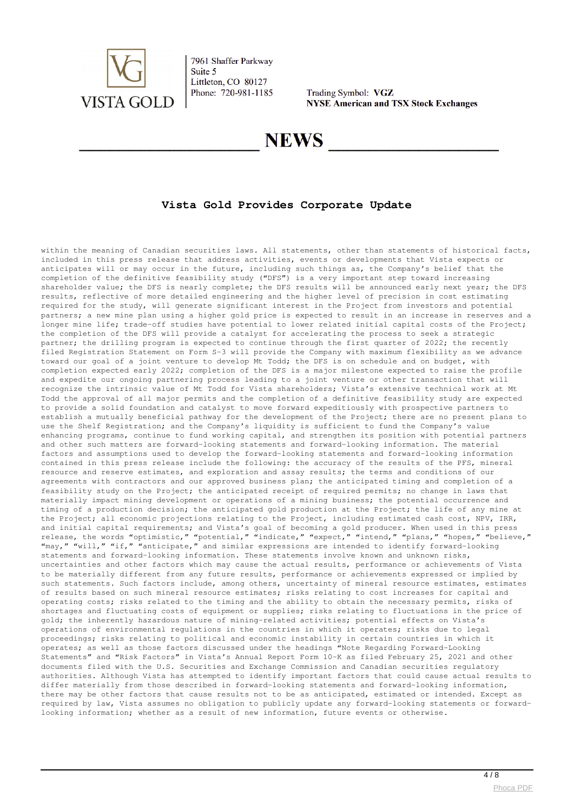

Trading Symbol: VGZ **NYSE American and TSX Stock Exchanges** 

## **NEWS**

### **Vista Gold Provides Corporate Update**

within the meaning of Canadian securities laws. All statements, other than statements of historical facts, included in this press release that address activities, events or developments that Vista expects or anticipates will or may occur in the future, including such things as, the Company's belief that the completion of the definitive feasibility study ("DFS") is a very important step toward increasing shareholder value; the DFS is nearly complete; the DFS results will be announced early next year; the DFS results, reflective of more detailed engineering and the higher level of precision in cost estimating required for the study, will generate significant interest in the Project from investors and potential partners; a new mine plan using a higher gold price is expected to result in an increase in reserves and a longer mine life; trade-off studies have potential to lower related initial capital costs of the Project; the completion of the DFS will provide a catalyst for accelerating the process to seek a strategic partner; the drilling program is expected to continue through the first quarter of 2022; the recently filed Registration Statement on Form S-3 will provide the Company with maximum flexibility as we advance toward our goal of a joint venture to develop Mt Todd; the DFS is on schedule and on budget, with completion expected early 2022; completion of the DFS is a major milestone expected to raise the profile and expedite our ongoing partnering process leading to a joint venture or other transaction that will recognize the intrinsic value of Mt Todd for Vista shareholders; Vista's extensive technical work at Mt Todd the approval of all major permits and the completion of a definitive feasibility study are expected to provide a solid foundation and catalyst to move forward expeditiously with prospective partners to establish a mutually beneficial pathway for the development of the Project; there are no present plans to use the Shelf Registration; and the Company's liquidity is sufficient to fund the Company's value enhancing programs, continue to fund working capital, and strengthen its position with potential partners and other such matters are forward-looking statements and forward-looking information. The material factors and assumptions used to develop the forward-looking statements and forward-looking information contained in this press release include the following: the accuracy of the results of the PFS, mineral resource and reserve estimates, and exploration and assay results; the terms and conditions of our agreements with contractors and our approved business plan; the anticipated timing and completion of a feasibility study on the Project; the anticipated receipt of required permits; no change in laws that materially impact mining development or operations of a mining business; the potential occurrence and timing of a production decision; the anticipated gold production at the Project; the life of any mine at the Project; all economic projections relating to the Project, including estimated cash cost, NPV, IRR, and initial capital requirements; and Vista's goal of becoming a gold producer. When used in this press release, the words "optimistic," "potential," "indicate," "expect," "intend," "plans," "hopes," "believe," "may," "will," "if," "anticipate," and similar expressions are intended to identify forward-looking statements and forward-looking information. These statements involve known and unknown risks, uncertainties and other factors which may cause the actual results, performance or achievements of Vista to be materially different from any future results, performance or achievements expressed or implied by such statements. Such factors include, among others, uncertainty of mineral resource estimates, estimates of results based on such mineral resource estimates; risks relating to cost increases for capital and operating costs; risks related to the timing and the ability to obtain the necessary permits, risks of shortages and fluctuating costs of equipment or supplies; risks relating to fluctuations in the price of gold; the inherently hazardous nature of mining-related activities; potential effects on Vista's operations of environmental regulations in the countries in which it operates; risks due to legal proceedings; risks relating to political and economic instability in certain countries in which it operates; as well as those factors discussed under the headings "Note Regarding Forward-Looking Statements" and "Risk Factors" in Vista's Annual Report Form 10-K as filed February 25, 2021 and other documents filed with the U.S. Securities and Exchange Commission and Canadian securities regulatory authorities. Although Vista has attempted to identify important factors that could cause actual results to differ materially from those described in forward-looking statements and forward-looking information, there may be other factors that cause results not to be as anticipated, estimated or intended. Except as required by law, Vista assumes no obligation to publicly update any forward-looking statements or forwardlooking information; whether as a result of new information, future events or otherwise.

 $\overline{4/8}$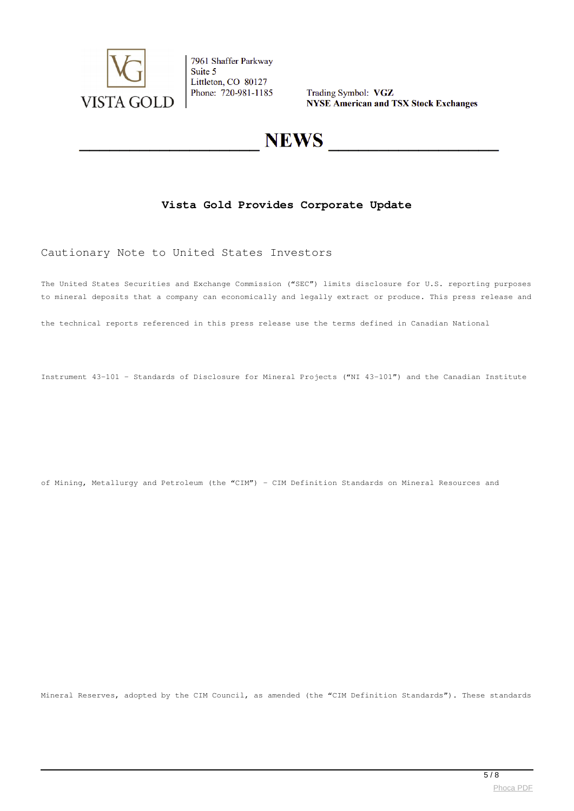

Trading Symbol: VGZ **NYSE American and TSX Stock Exchanges** 

# **NEWS**

### **Vista Gold Provides Corporate Update**

#### Cautionary Note to United States Investors

The United States Securities and Exchange Commission ("SEC") limits disclosure for U.S. reporting purposes to mineral deposits that a company can economically and legally extract or produce. This press release and

the technical reports referenced in this press release use the terms defined in Canadian National

Instrument 43-101 – Standards of Disclosure for Mineral Projects ("NI 43-101") and the Canadian Institute

of Mining, Metallurgy and Petroleum (the "CIM") – CIM Definition Standards on Mineral Resources and

Mineral Reserves, adopted by the CIM Council, as amended (the "CIM Definition Standards"). These standards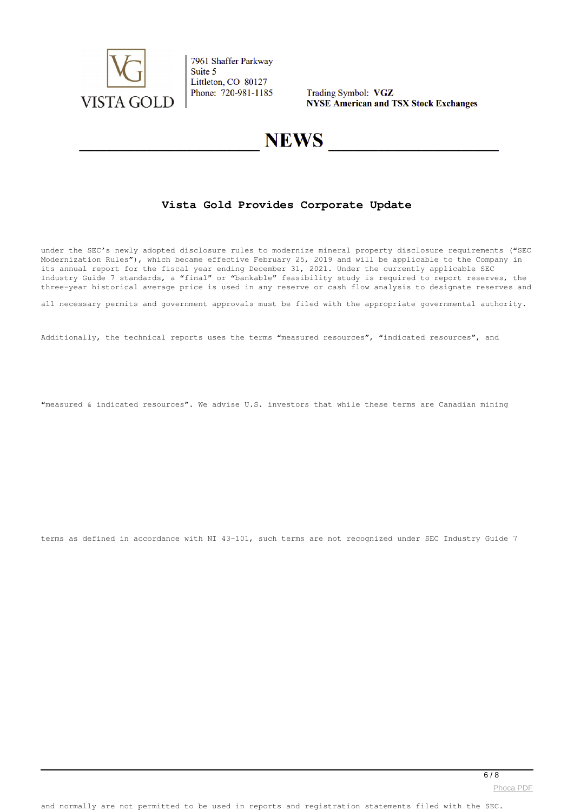

Trading Symbol: VGZ **NYSE American and TSX Stock Exchanges** 

## **NEWS**

### **Vista Gold Provides Corporate Update**

under the SEC's newly adopted disclosure rules to modernize mineral property disclosure requirements ("SEC Modernization Rules"), which became effective February 25, 2019 and will be applicable to the Company in its annual report for the fiscal year ending December 31, 2021. Under the currently applicable SEC Industry Guide 7 standards, a "final" or "bankable" feasibility study is required to report reserves, the three-year historical average price is used in any reserve or cash flow analysis to designate reserves and

all necessary permits and government approvals must be filed with the appropriate governmental authority.

Additionally, the technical reports uses the terms "measured resources", "indicated resources", and

"measured & indicated resources". We advise U.S. investors that while these terms are Canadian mining

terms as defined in accordance with NI 43-101, such terms are not recognized under SEC Industry Guide 7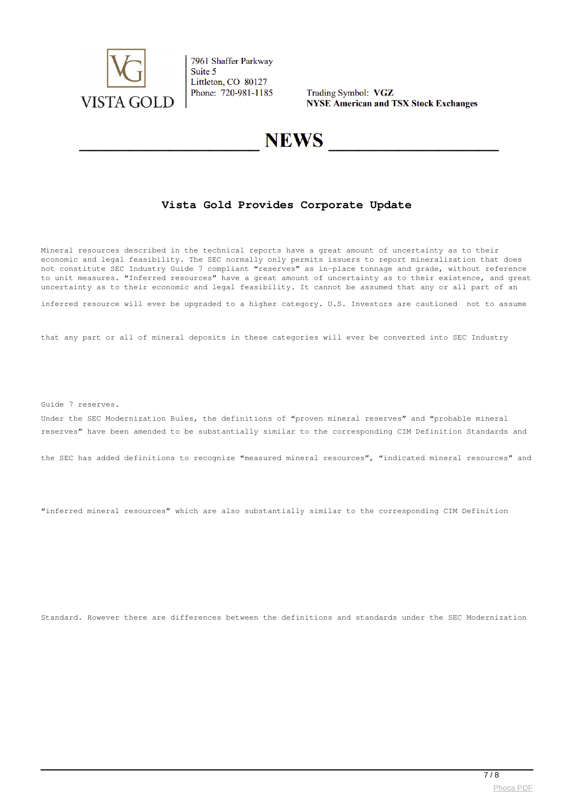

Trading Symbol: VGZ **NYSE American and TSX Stock Exchanges** 

## **NEWS**

### **Vista Gold Provides Corporate Update**

Mineral resources described in the technical reports have a great amount of uncertainty as to their economic and legal feasibility. The SEC normally only permits issuers to report mineralization that does not constitute SEC Industry Guide 7 compliant "reserves" as in-place tonnage and grade, without reference to unit measures. "Inferred resources" have a great amount of uncertainty as to their existence, and great uncertainty as to their economic and legal feasibility. It cannot be assumed that any or all part of an

inferred resource will ever be upgraded to a higher category. U.S. Investors are cautioned not to assume

that any part or all of mineral deposits in these categories will ever be converted into SEC Industry

Guide 7 reserves.

Under the SEC Modernization Rules, the definitions of "proven mineral reserves" and "probable mineral reserves" have been amended to be substantially similar to the corresponding CIM Definition Standards and

the SEC has added definitions to recognize "measured mineral resources", "indicated mineral resources" and

"inferred mineral resources" which are also substantially similar to the corresponding CIM Definition

Standard. However there are differences between the definitions and standards under the SEC Modernization